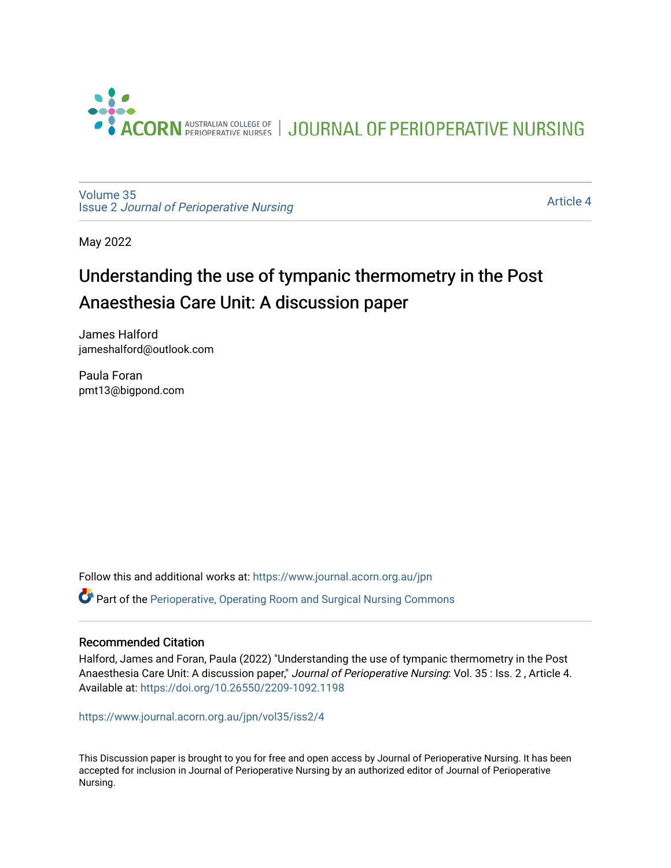

JOURNAL OF PERIOPERATIVE NURSING

[Volume 35](https://www.journal.acorn.org.au/jpn/vol35) Issue 2 [Journal of Perioperative Nursing](https://www.journal.acorn.org.au/jpn/vol35/iss2)

[Article 4](https://www.journal.acorn.org.au/jpn/vol35/iss2/4) 

May 2022

# Understanding the use of tympanic thermometry in the Post Anaesthesia Care Unit: A discussion paper

James Halford jameshalford@outlook.com

Paula Foran pmt13@bigpond.com

Follow this and additional works at: [https://www.journal.acorn.org.au/jpn](https://www.journal.acorn.org.au/jpn?utm_source=www.journal.acorn.org.au%2Fjpn%2Fvol35%2Fiss2%2F4&utm_medium=PDF&utm_campaign=PDFCoverPages) 

Part of the [Perioperative, Operating Room and Surgical Nursing Commons](https://network.bepress.com/hgg/discipline/726?utm_source=www.journal.acorn.org.au%2Fjpn%2Fvol35%2Fiss2%2F4&utm_medium=PDF&utm_campaign=PDFCoverPages)

#### Recommended Citation

Halford, James and Foran, Paula (2022) "Understanding the use of tympanic thermometry in the Post Anaesthesia Care Unit: A discussion paper," Journal of Perioperative Nursing: Vol. 35 : Iss. 2, Article 4. Available at:<https://doi.org/10.26550/2209-1092.1198>

[https://www.journal.acorn.org.au/jpn/vol35/iss2/4](10.26550/2209-1092.1198?utm_source=www.journal.acorn.org.au%2Fjpn%2Fvol35%2Fiss2%2F4&utm_medium=PDF&utm_campaign=PDFCoverPages)

This Discussion paper is brought to you for free and open access by Journal of Perioperative Nursing. It has been accepted for inclusion in Journal of Perioperative Nursing by an authorized editor of Journal of Perioperative Nursing.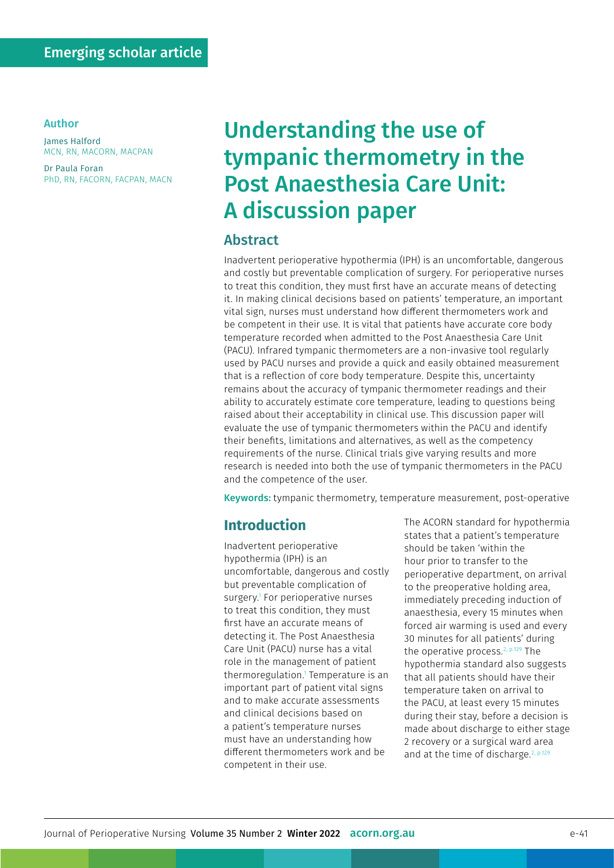#### Author

James Halford MCN, RN, MACORN, MACPAN

Dr Paula Foran PhD, RN, FACORN, FACPAN, MACN

# Understanding the use of tympanic thermometry in the Post Anaesthesia Care Unit: A discussion paper

#### Abstract

Inadvertent perioperative hypothermia (IPH) is an uncomfortable, dangerous and costly but preventable complication of surgery. For perioperative nurses to treat this condition, they must first have an accurate means of detecting it. In making clinical decisions based on patients' temperature, an important vital sign, nurses must understand how different thermometers work and be competent in their use. It is vital that patients have accurate core body temperature recorded when admitted to the Post Anaesthesia Care Unit (PACU). Infrared tympanic thermometers are a non-invasive tool regularly used by PACU nurses and provide a quick and easily obtained measurement that is a reflection of core body temperature. Despite this, uncertainty remains about the accuracy of tympanic thermometer readings and their ability to accurately estimate core temperature, leading to questions being raised about their acceptability in clinical use. This discussion paper will evaluate the use of tympanic thermometers within the PACU and identify their benefits, limitations and alternatives, as well as the competency requirements of the nurse. Clinical trials give varying results and more research is needed into both the use of tympanic thermometers in the PACU and the competence of the user.

Keywords: tympanic thermometry, temperature measurement, post-operative

#### **Introduction**

Inadvertent perioperative hypothermia (IPH) is an uncomfortable, dangerous and costly but preventable complication of surgery.1 For perioperative nurses to treat this condition, they must first have an accurate means of detecting it. The Post Anaesthesia Care Unit (PACU) nurse has a vital role in the management of patient thermoregulation.1 Temperature is an important part of patient vital signs and to make accurate assessments and clinical decisions based on a patient's temperature nurses must have an understanding how different thermometers work and be competent in their use.

The ACORN standard for hypothermia states that a patient's temperature should be taken 'within the hour prior to transfer to the perioperative department, on arrival to the preoperative holding area, immediately preceding induction of anaesthesia, every 15 minutes when forced air warming is used and every 30 minutes for all patients' during the operative process  $2, p.129$  The hypothermia standard also suggests that all patients should have their temperature taken on arrival to the PACU, at least every 15 minutes during their stay, before a decision is made about discharge to either stage 2 recovery or a surgical ward area and at the time of discharge.<sup>2, p.129</sup>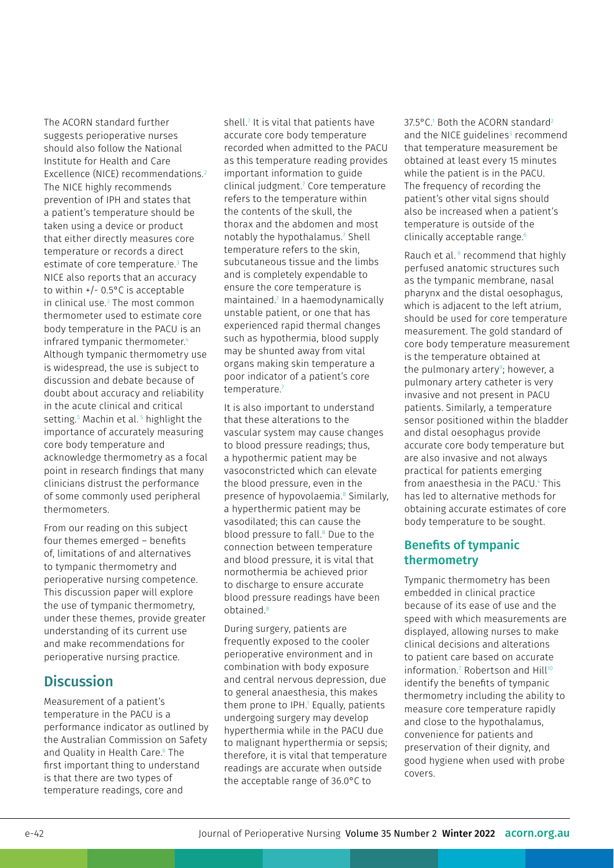The ACORN standard further suggests perioperative nurses should also follow the National Institute for Health and Care Excellence (NICE) recommendations.<sup>2</sup> The NICE highly recommends prevention of IPH and states that a patient's temperature should be taken using a device or product that either directly measures core temperature or records a direct estimate of core temperature.3 The NICE also reports that an accuracy to within +/- 0.5°C is acceptable in clinical use.3 The most common thermometer used to estimate core body temperature in the PACU is an infrared tympanic thermometer.<sup>4</sup> Although tympanic thermometry use is widespread, the use is subject to discussion and debate because of doubt about accuracy and reliability in the acute clinical and critical setting.5 Machin et al. 5 highlight the importance of accurately measuring core body temperature and acknowledge thermometry as a focal point in research findings that many clinicians distrust the performance of some commonly used peripheral thermometers.

From our reading on this subject four themes emerged – benefits of, limitations of and alternatives to tympanic thermometry and perioperative nursing competence. This discussion paper will explore the use of tympanic thermometry, under these themes, provide greater understanding of its current use and make recommendations for perioperative nursing practice.

### **Discussion**

Measurement of a patient's temperature in the PACU is a performance indicator as outlined by the Australian Commission on Safety and Quality in Health Care.6 The first important thing to understand is that there are two types of temperature readings, core and

shell.7 It is vital that patients have accurate core body temperature recorded when admitted to the PACU as this temperature reading provides important information to guide clinical judgment.7 Core temperature refers to the temperature within the contents of the skull, the thorax and the abdomen and most notably the hypothalamus.<sup>7</sup> Shell temperature refers to the skin, subcutaneous tissue and the limbs and is completely expendable to ensure the core temperature is maintained.7 In a haemodynamically unstable patient, or one that has experienced rapid thermal changes such as hypothermia, blood supply may be shunted away from vital organs making skin temperature a poor indicator of a patient's core temperature.7

It is also important to understand that these alterations to the vascular system may cause changes to blood pressure readings; thus, a hypothermic patient may be vasoconstricted which can elevate the blood pressure, even in the presence of hypovolaemia.<sup>8</sup> Similarly, a hyperthermic patient may be vasodilated; this can cause the blood pressure to fall.<sup>8</sup> Due to the connection between temperature and blood pressure, it is vital that normothermia be achieved prior to discharge to ensure accurate blood pressure readings have been obtained.8

During surgery, patients are frequently exposed to the cooler perioperative environment and in combination with body exposure and central nervous depression, due to general anaesthesia, this makes them prone to IPH.1 Equally, patients undergoing surgery may develop hyperthermia while in the PACU due to malignant hyperthermia or sepsis; therefore, it is vital that temperature readings are accurate when outside the acceptable range of 36.0°C to

37.5°C.<sup>1</sup> Both the ACORN standard<sup>2</sup> and the NICE guidelines $3$  recommend that temperature measurement be obtained at least every 15 minutes while the patient is in the PACU. The frequency of recording the patient's other vital signs should also be increased when a patient's temperature is outside of the clinically acceptable range.<sup>6</sup>

Rauch et al.<sup>9</sup> recommend that highly perfused anatomic structures such as the tympanic membrane, nasal pharynx and the distal oesophagus, which is adjacent to the left atrium. should be used for core temperature measurement. The gold standard of core body temperature measurement is the temperature obtained at the pulmonary artery<sup>9</sup>; however, a pulmonary artery catheter is very invasive and not present in PACU patients. Similarly, a temperature sensor positioned within the bladder and distal oesophagus provide accurate core body temperature but are also invasive and not always practical for patients emerging from anaesthesia in the PACU.<sup>4</sup> This has led to alternative methods for obtaining accurate estimates of core body temperature to be sought.

#### Benefits of tympanic thermometry

Tympanic thermometry has been embedded in clinical practice because of its ease of use and the speed with which measurements are displayed, allowing nurses to make clinical decisions and alterations to patient care based on accurate  $information$ .<sup>7</sup> Robertson and Hill<sup>10</sup> identify the benefits of tympanic thermometry including the ability to measure core temperature rapidly and close to the hypothalamus, convenience for patients and preservation of their dignity, and good hygiene when used with probe covers.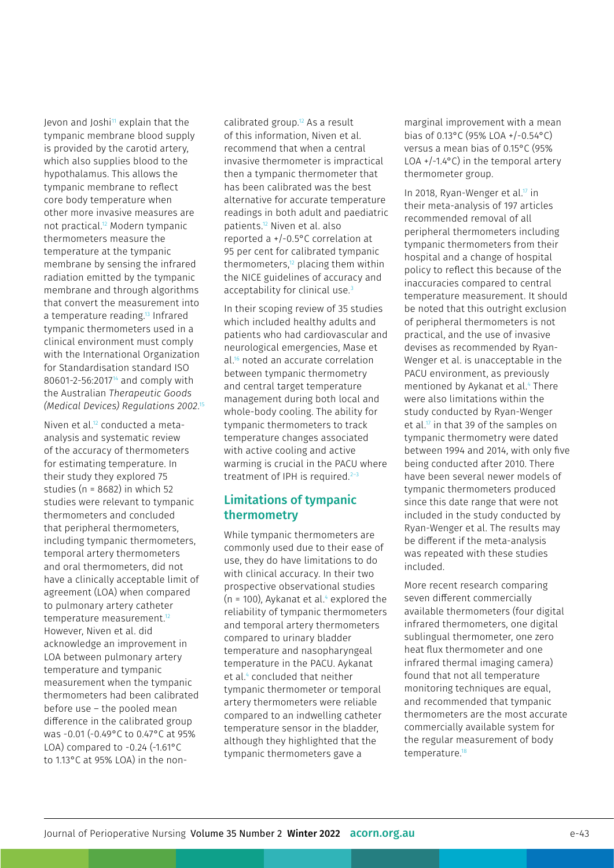Jevon and Joshi $11$  explain that the tympanic membrane blood supply is provided by the carotid artery, which also supplies blood to the hypothalamus. This allows the tympanic membrane to reflect core body temperature when other more invasive measures are not practical.12 Modern tympanic thermometers measure the temperature at the tympanic membrane by sensing the infrared radiation emitted by the tympanic membrane and through algorithms that convert the measurement into a temperature reading.13 Infrared tympanic thermometers used in a clinical environment must comply with the International Organization for Standardisation standard ISO 80601-2-56:201714 and comply with the Australian *Therapeutic Goods (Medical Devices) Regulations 2002*. 15

Niven et al.12 conducted a metaanalysis and systematic review of the accuracy of thermometers for estimating temperature. In their study they explored 75 studies (n = 8682) in which 52 studies were relevant to tympanic thermometers and concluded that peripheral thermometers, including tympanic thermometers, temporal artery thermometers and oral thermometers, did not have a clinically acceptable limit of agreement (LOA) when compared to pulmonary artery catheter temperature measurement.<sup>12</sup> However, Niven et al. did acknowledge an improvement in LOA between pulmonary artery temperature and tympanic measurement when the tympanic thermometers had been calibrated before use – the pooled mean difference in the calibrated group was -0.01 (-0.49°C to 0.47°C at 95% LOA) compared to  $-0.24$  ( $-1.61$ °C to 1.13°C at 95% LOA) in the non-

calibrated group.12 As a result of this information, Niven et al. recommend that when a central invasive thermometer is impractical then a tympanic thermometer that has been calibrated was the best alternative for accurate temperature readings in both adult and paediatric patients.12 Niven et al. also reported a +/-0.5°C correlation at 95 per cent for calibrated tympanic thermometers,12 placing them within the NICE guidelines of accuracy and acceptability for clinical use.<sup>3</sup>

In their scoping review of 35 studies which included healthy adults and patients who had cardiovascular and neurological emergencies, Mase et al.<sup>16</sup> noted an accurate correlation between tympanic thermometry and central target temperature management during both local and whole-body cooling. The ability for tympanic thermometers to track temperature changes associated with active cooling and active warming is crucial in the PACU where treatment of IPH is required.<sup>2-3</sup>

#### Limitations of tympanic thermometry

While tympanic thermometers are commonly used due to their ease of use, they do have limitations to do with clinical accuracy. In their two prospective observational studies (n = 100), Aykanat et al.<sup>4</sup> explored the reliability of tympanic thermometers and temporal artery thermometers compared to urinary bladder temperature and nasopharyngeal temperature in the PACU. Aykanat et al.4 concluded that neither tympanic thermometer or temporal artery thermometers were reliable compared to an indwelling catheter temperature sensor in the bladder, although they highlighted that the tympanic thermometers gave a

marginal improvement with a mean bias of 0.13°C (95% LOA +/-0.54°C) versus a mean bias of 0.15°C (95% LOA  $+/-1.4$ °C) in the temporal artery thermometer group.

In 2018, Ryan-Wenger et al.<sup>17</sup> in their meta-analysis of 197 articles recommended removal of all peripheral thermometers including tympanic thermometers from their hospital and a change of hospital policy to reflect this because of the inaccuracies compared to central temperature measurement. It should be noted that this outright exclusion of peripheral thermometers is not practical, and the use of invasive devises as recommended by Ryan-Wenger et al. is unacceptable in the PACU environment, as previously mentioned by Aykanat et al.4 There were also limitations within the study conducted by Ryan-Wenger et al.<sup>17</sup> in that 39 of the samples on tympanic thermometry were dated between 1994 and 2014, with only five being conducted after 2010. There have been several newer models of tympanic thermometers produced since this date range that were not included in the study conducted by Ryan-Wenger et al. The results may be different if the meta-analysis was repeated with these studies included.

More recent research comparing seven different commercially available thermometers (four digital infrared thermometers, one digital sublingual thermometer, one zero heat flux thermometer and one infrared thermal imaging camera) found that not all temperature monitoring techniques are equal, and recommended that tympanic thermometers are the most accurate commercially available system for the regular measurement of body temperature.<sup>18</sup>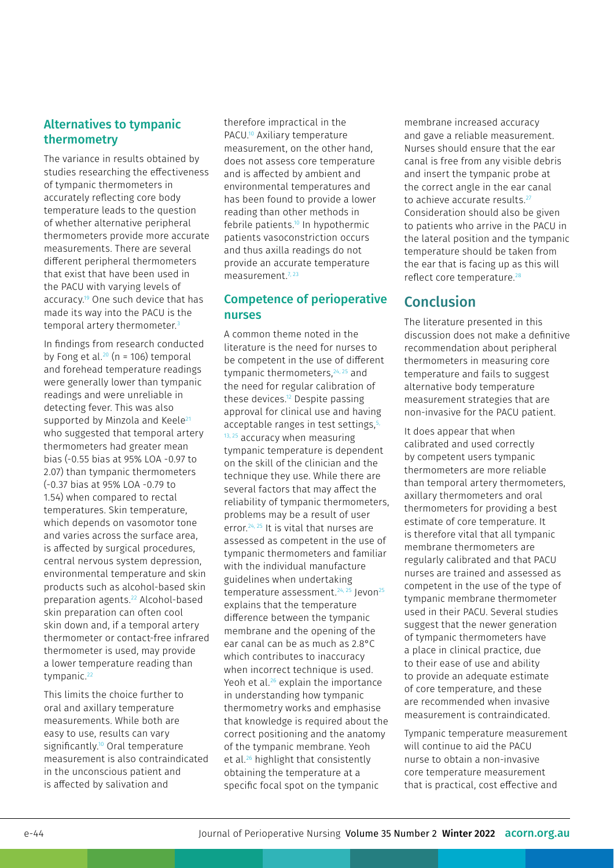#### Alternatives to tympanic thermometry

The variance in results obtained by studies researching the effectiveness of tympanic thermometers in accurately reflecting core body temperature leads to the question of whether alternative peripheral thermometers provide more accurate measurements. There are several different peripheral thermometers that exist that have been used in the PACU with varying levels of accuracy.19 One such device that has made its way into the PACU is the temporal artery thermometer.<sup>3</sup>

In findings from research conducted by Fong et al.<sup>20</sup> ( $n = 106$ ) temporal and forehead temperature readings were generally lower than tympanic readings and were unreliable in detecting fever. This was also supported by Minzola and Keele<sup>21</sup> who suggested that temporal artery thermometers had greater mean bias (-0.55 bias at 95% LOA -0.97 to 2.07) than tympanic thermometers (-0.37 bias at 95% LOA -0.79 to 1.54) when compared to rectal temperatures. Skin temperature, which depends on vasomotor tone and varies across the surface area, is affected by surgical procedures, central nervous system depression, environmental temperature and skin products such as alcohol-based skin preparation agents.22 Alcohol-based skin preparation can often cool skin down and, if a temporal artery thermometer or contact-free infrared thermometer is used, may provide a lower temperature reading than tympanic.<sup>22</sup>

This limits the choice further to oral and axillary temperature measurements. While both are easy to use, results can vary significantly.<sup>10</sup> Oral temperature measurement is also contraindicated in the unconscious patient and is affected by salivation and

therefore impractical in the PACU.10 Axiliary temperature measurement, on the other hand, does not assess core temperature and is affected by ambient and environmental temperatures and has been found to provide a lower reading than other methods in febrile patients.10 In hypothermic patients vasoconstriction occurs and thus axilla readings do not provide an accurate temperature measurement.7, 23

#### Competence of perioperative nurses

A common theme noted in the literature is the need for nurses to be competent in the use of different tympanic thermometers, <sup>24, 25</sup> and the need for regular calibration of these devices.12 Despite passing approval for clinical use and having acceptable ranges in test settings,<sup>5,</sup>  $13, 25$  accuracy when measuring tympanic temperature is dependent on the skill of the clinician and the technique they use. While there are several factors that may affect the reliability of tympanic thermometers, problems may be a result of user error.24, 25 It is vital that nurses are assessed as competent in the use of tympanic thermometers and familiar with the individual manufacture guidelines when undertaking temperature assessment.<sup>24, 25</sup> Jevon<sup>25</sup> explains that the temperature difference between the tympanic membrane and the opening of the ear canal can be as much as 2.8°C which contributes to inaccuracy when incorrect technique is used. Yeoh et al.<sup>26</sup> explain the importance in understanding how tympanic thermometry works and emphasise that knowledge is required about the correct positioning and the anatomy of the tympanic membrane. Yeoh et al.26 highlight that consistently obtaining the temperature at a specific focal spot on the tympanic

membrane increased accuracy and gave a reliable measurement. Nurses should ensure that the ear canal is free from any visible debris and insert the tympanic probe at the correct angle in the ear canal to achieve accurate results.<sup>27</sup> Consideration should also be given to patients who arrive in the PACU in the lateral position and the tympanic temperature should be taken from the ear that is facing up as this will reflect core temperature.<sup>28</sup>

## Conclusion

The literature presented in this discussion does not make a definitive recommendation about peripheral thermometers in measuring core temperature and fails to suggest alternative body temperature measurement strategies that are non-invasive for the PACU patient.

It does appear that when calibrated and used correctly by competent users tympanic thermometers are more reliable than temporal artery thermometers, axillary thermometers and oral thermometers for providing a best estimate of core temperature. It is therefore vital that all tympanic membrane thermometers are regularly calibrated and that PACU nurses are trained and assessed as competent in the use of the type of tympanic membrane thermometer used in their PACU. Several studies suggest that the newer generation of tympanic thermometers have a place in clinical practice, due to their ease of use and ability to provide an adequate estimate of core temperature, and these are recommended when invasive measurement is contraindicated.

Tympanic temperature measurement will continue to aid the PACU nurse to obtain a non-invasive core temperature measurement that is practical, cost effective and